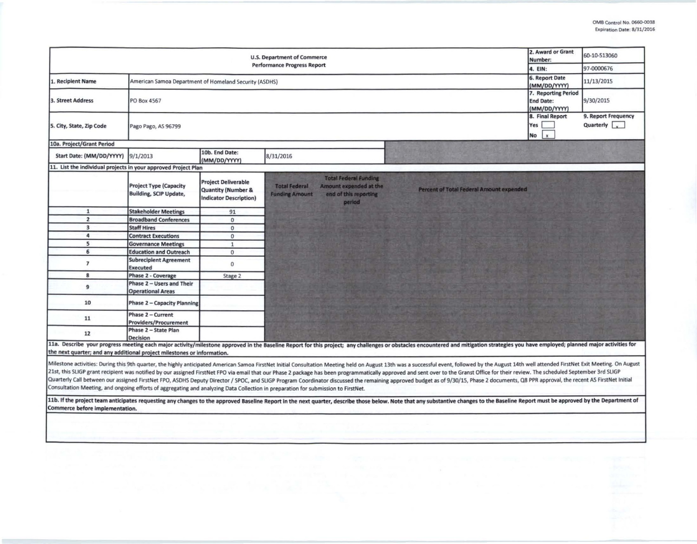| <b>U.S. Department of Commerce</b><br><b>Performance Progress Report</b>                                                                                                                                                                                                                                                                                                                                                                                                                                                                                                                                                                                                                                                                                                                                                                                                                                                                                                                                                                                                                                    |                                                                                        |                                                                                              |                                               |                                                                                           |                                          | 2. Award or Grant<br>Number:<br>4. EIN:      | 60-10-S13060<br>97-0000676                       |  |
|-------------------------------------------------------------------------------------------------------------------------------------------------------------------------------------------------------------------------------------------------------------------------------------------------------------------------------------------------------------------------------------------------------------------------------------------------------------------------------------------------------------------------------------------------------------------------------------------------------------------------------------------------------------------------------------------------------------------------------------------------------------------------------------------------------------------------------------------------------------------------------------------------------------------------------------------------------------------------------------------------------------------------------------------------------------------------------------------------------------|----------------------------------------------------------------------------------------|----------------------------------------------------------------------------------------------|-----------------------------------------------|-------------------------------------------------------------------------------------------|------------------------------------------|----------------------------------------------|--------------------------------------------------|--|
| L. Recipient Name                                                                                                                                                                                                                                                                                                                                                                                                                                                                                                                                                                                                                                                                                                                                                                                                                                                                                                                                                                                                                                                                                           | 6. Report Date<br>American Samoa Department of Homeland Security (ASDHS)               |                                                                                              |                                               |                                                                                           |                                          |                                              | 11/13/2015                                       |  |
| 3. Street Address                                                                                                                                                                                                                                                                                                                                                                                                                                                                                                                                                                                                                                                                                                                                                                                                                                                                                                                                                                                                                                                                                           | (MM/DD/YYYY)<br>7. Reporting Period<br>PO Box 4567<br><b>End Date:</b><br>(MM/DD/YYYY) |                                                                                              |                                               |                                                                                           |                                          |                                              | 9/30/2015                                        |  |
| 5. City, State, Zip Code                                                                                                                                                                                                                                                                                                                                                                                                                                                                                                                                                                                                                                                                                                                                                                                                                                                                                                                                                                                                                                                                                    | Pago Pago, AS 96799                                                                    |                                                                                              |                                               |                                                                                           |                                          | 8. Final Report<br>Yes<br>No<br>$\mathbf{x}$ | 9. Report Frequency<br>Quarterly $\vert$ $\vert$ |  |
| 10a. Project/Grant Period                                                                                                                                                                                                                                                                                                                                                                                                                                                                                                                                                                                                                                                                                                                                                                                                                                                                                                                                                                                                                                                                                   |                                                                                        |                                                                                              |                                               |                                                                                           |                                          |                                              |                                                  |  |
| Start Date: (MM/DD/YYYY)                                                                                                                                                                                                                                                                                                                                                                                                                                                                                                                                                                                                                                                                                                                                                                                                                                                                                                                                                                                                                                                                                    | 9/1/2013                                                                               | 10b. End Date:<br>(MM/DD/YYYY)                                                               | 8/31/2016                                     |                                                                                           |                                          |                                              |                                                  |  |
| 11. List the individual projects in your approved Project Plan                                                                                                                                                                                                                                                                                                                                                                                                                                                                                                                                                                                                                                                                                                                                                                                                                                                                                                                                                                                                                                              |                                                                                        |                                                                                              |                                               |                                                                                           |                                          |                                              |                                                  |  |
|                                                                                                                                                                                                                                                                                                                                                                                                                                                                                                                                                                                                                                                                                                                                                                                                                                                                                                                                                                                                                                                                                                             | <b>Project Type (Capacity</b><br><b>Building, SCIP Update,</b>                         | <b>Project Deliverable</b><br><b>Quantity (Number &amp;</b><br><b>Indicator Description)</b> | <b>Total Federal</b><br><b>Funding Amount</b> | <b>Total Federal Funding</b><br>Amount expended at the<br>end of this reporting<br>period | Percent of Total Federal Amount expended |                                              |                                                  |  |
| $\mathbf{1}$                                                                                                                                                                                                                                                                                                                                                                                                                                                                                                                                                                                                                                                                                                                                                                                                                                                                                                                                                                                                                                                                                                | <b>Stakeholder Meetings</b>                                                            | 91                                                                                           |                                               |                                                                                           |                                          |                                              |                                                  |  |
| $\overline{2}$                                                                                                                                                                                                                                                                                                                                                                                                                                                                                                                                                                                                                                                                                                                                                                                                                                                                                                                                                                                                                                                                                              | <b>Broadband Conferences</b>                                                           | $\mathbf{0}$                                                                                 |                                               |                                                                                           |                                          |                                              |                                                  |  |
| $\overline{\mathbf{3}}$                                                                                                                                                                                                                                                                                                                                                                                                                                                                                                                                                                                                                                                                                                                                                                                                                                                                                                                                                                                                                                                                                     | <b>Staff Hires</b>                                                                     | $\mathbf{0}$                                                                                 |                                               |                                                                                           |                                          |                                              |                                                  |  |
| $\overline{a}$                                                                                                                                                                                                                                                                                                                                                                                                                                                                                                                                                                                                                                                                                                                                                                                                                                                                                                                                                                                                                                                                                              | <b>Contract Executions</b>                                                             | $\mathbf{0}$                                                                                 |                                               |                                                                                           |                                          |                                              |                                                  |  |
| 5                                                                                                                                                                                                                                                                                                                                                                                                                                                                                                                                                                                                                                                                                                                                                                                                                                                                                                                                                                                                                                                                                                           | <b>Governance Meetings</b>                                                             | $\mathbf{1}$                                                                                 |                                               |                                                                                           |                                          |                                              |                                                  |  |
| 6                                                                                                                                                                                                                                                                                                                                                                                                                                                                                                                                                                                                                                                                                                                                                                                                                                                                                                                                                                                                                                                                                                           | <b>Education and Outreach</b>                                                          | $\mathbf{0}$                                                                                 |                                               |                                                                                           |                                          |                                              |                                                  |  |
| $\overline{\phantom{a}}$                                                                                                                                                                                                                                                                                                                                                                                                                                                                                                                                                                                                                                                                                                                                                                                                                                                                                                                                                                                                                                                                                    | <b>Subrecipient Agreement</b><br><b>Executed</b>                                       | $\mathbf{0}$                                                                                 |                                               |                                                                                           |                                          |                                              |                                                  |  |
| 8                                                                                                                                                                                                                                                                                                                                                                                                                                                                                                                                                                                                                                                                                                                                                                                                                                                                                                                                                                                                                                                                                                           | <b>Phase 2 - Coverage</b>                                                              | Stage 2                                                                                      |                                               |                                                                                           |                                          |                                              |                                                  |  |
| $\mathbf{9}$                                                                                                                                                                                                                                                                                                                                                                                                                                                                                                                                                                                                                                                                                                                                                                                                                                                                                                                                                                                                                                                                                                | Phase 2 - Users and Their<br><b>Operational Areas</b>                                  |                                                                                              |                                               |                                                                                           |                                          |                                              |                                                  |  |
| 10                                                                                                                                                                                                                                                                                                                                                                                                                                                                                                                                                                                                                                                                                                                                                                                                                                                                                                                                                                                                                                                                                                          | <b>Phase 2 - Capacity Planning</b>                                                     |                                                                                              |                                               |                                                                                           |                                          |                                              |                                                  |  |
| 11                                                                                                                                                                                                                                                                                                                                                                                                                                                                                                                                                                                                                                                                                                                                                                                                                                                                                                                                                                                                                                                                                                          | Phase 2 - Current<br><b>Providers/Procurement</b>                                      |                                                                                              |                                               |                                                                                           |                                          |                                              |                                                  |  |
| 12                                                                                                                                                                                                                                                                                                                                                                                                                                                                                                                                                                                                                                                                                                                                                                                                                                                                                                                                                                                                                                                                                                          | Phase 2 - State Plan<br><b>Decision</b>                                                |                                                                                              |                                               |                                                                                           |                                          |                                              |                                                  |  |
| 11a. Describe your progress meeting each major activity/milestone approved in the Baseline Report for this project; any challenges or obstacles encountered and mitigation strategies you have employed; planned major activit<br>the next quarter; and any additional project milestones or information.                                                                                                                                                                                                                                                                                                                                                                                                                                                                                                                                                                                                                                                                                                                                                                                                   |                                                                                        |                                                                                              |                                               |                                                                                           |                                          |                                              |                                                  |  |
| Milestone activities: During this 9th quarter, the highly anticipated American Samoa FirstNet Initial Consultation Meeting held on August 13th was a successful event, followed by the August 14th well attended FirstNet Exit<br>21st, this SLIGP grant recipient was notified by our assigned FirstNet FPO via email that our Phase 2 package has been programmatically approved and sent over to the Granst Office for their review. The scheduled September<br>Quarterly Call between our assigned FirstNet FPO, ASDHS Deputy Director / SPOC, and SLIGP Program Coordinator discussed the remaining approved budget as of 9/30/15, Phase 2 documents, Q8 PPR approval, the recent AS FirstNe<br>Consultation Meeting, and ongoing efforts of aggregating and analyzing Data Collection in preparation for submission to FirstNet.<br>11b. If the project team anticipates requesting any changes to the approved Baseline Report in the next quarter, describe those below. Note that any substantive changes to the Baseline Report must be approved by the Depart<br>Commerce before implementation. |                                                                                        |                                                                                              |                                               |                                                                                           |                                          |                                              |                                                  |  |
|                                                                                                                                                                                                                                                                                                                                                                                                                                                                                                                                                                                                                                                                                                                                                                                                                                                                                                                                                                                                                                                                                                             |                                                                                        |                                                                                              |                                               |                                                                                           |                                          |                                              |                                                  |  |
|                                                                                                                                                                                                                                                                                                                                                                                                                                                                                                                                                                                                                                                                                                                                                                                                                                                                                                                                                                                                                                                                                                             |                                                                                        |                                                                                              |                                               |                                                                                           |                                          |                                              |                                                  |  |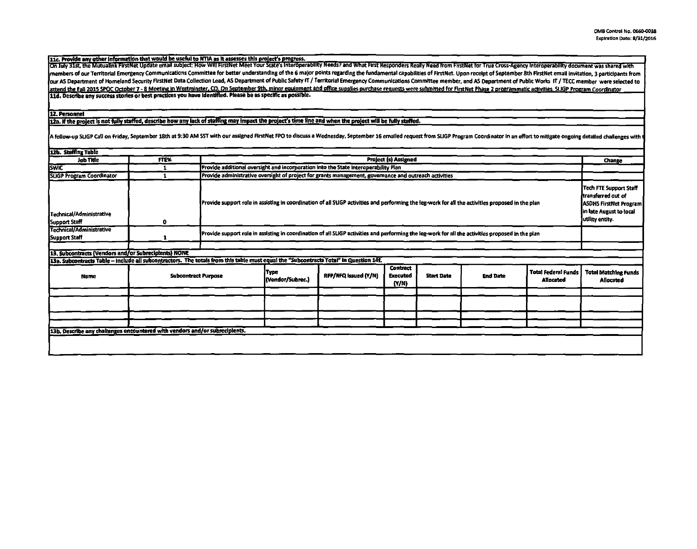11c. Provide any other information that would be useful to NTIA as it assesses this project's progress.<br>On July 31st, the Mutualink FirstNet Update email subject: How Will FirstNet Meet Your State's Interoperability Needs? members of our Territorial Emergency Communications Committee for better understanding of the 6 major points regarding the fundamental capabilities of FirstNet. Upon receipt of September 8th FirstNet email invitation, 3 pa our AS Department of Homeland Security FirstNet Data Collection Lead, AS Department of Public Safety IT / Territorial Emergency Communications Committee member, and AS Department of Public Works IT / TECC member were selec attend the Fall 2015 SPQC October 7 - 8 Meeting in Westminster, CO, On September 9th, minor equipment and office supplies purchase requests were submitted for FirstNet Phase 2 programmatic activities. SLIGP Program Coordin

## 12. Personnel

12a. If the project is not fully staffed, describe how any lack of staffing may impact the project's time line and when the project will be fully staffed.

A follow-up SLIGP Call on Friday, September 18th at 9:30 AM SST with our assigned FirstNet FPO to discuss a Wednesday, September 16 emailed request from SLIGP Program Coordinator in an effort to mitigate ongoing detailed c

| 12b. Staffing Table                                                         |                                                                                                                                       |                                                                                                                                                   |                                                                                     |                      |                                             |                   |                 |                                                                                                                             |                                          |
|-----------------------------------------------------------------------------|---------------------------------------------------------------------------------------------------------------------------------------|---------------------------------------------------------------------------------------------------------------------------------------------------|-------------------------------------------------------------------------------------|----------------------|---------------------------------------------|-------------------|-----------------|-----------------------------------------------------------------------------------------------------------------------------|------------------------------------------|
| Job Title                                                                   | <b>FTE%</b>                                                                                                                           | <b>Project (s) Assigned</b>                                                                                                                       |                                                                                     |                      |                                             |                   |                 | Change                                                                                                                      |                                          |
| <b>SWIC</b>                                                                 |                                                                                                                                       |                                                                                                                                                   | Provide additional oversight and incorporation into the State Interoperability Plan |                      |                                             |                   |                 |                                                                                                                             |                                          |
| SLIGP Program Coordinator                                                   |                                                                                                                                       | Provide administrative oversight of project for grants management, governance and outreach activities                                             |                                                                                     |                      |                                             |                   |                 |                                                                                                                             |                                          |
| Technical/Administrative<br>Support Staff                                   | 0                                                                                                                                     | Provide support role in assisting in coordination of all SLIGP activities and performing the leg-work for all the activities proposed in the plan |                                                                                     |                      |                                             |                   |                 | Tech FTE Support Staff<br>ttransferred out of<br><b>ASDHS FirstNet Program</b><br>in late August to local<br>Judiny entity. |                                          |
| Technical/Administrative<br>Support Staff                                   |                                                                                                                                       | Provide support role in assisting in coordination of all SLIGP activities and performing the leg-work for all the activities proposed in the plan |                                                                                     |                      |                                             |                   |                 |                                                                                                                             |                                          |
|                                                                             |                                                                                                                                       |                                                                                                                                                   |                                                                                     |                      |                                             |                   |                 |                                                                                                                             |                                          |
| 13. Subcontracts (Vendors and/or Subrecipients) NONE                        |                                                                                                                                       |                                                                                                                                                   |                                                                                     |                      |                                             |                   |                 |                                                                                                                             |                                          |
|                                                                             | 13a. Subcontracts Table – include all subcontractors. The totals from this table must equal the "Subcontracts Total" in Question 14f. |                                                                                                                                                   |                                                                                     |                      |                                             |                   |                 |                                                                                                                             |                                          |
| Name                                                                        | <b>Subcontract Purpose</b>                                                                                                            |                                                                                                                                                   | Type<br>(Vendor/Subrec.)                                                            | RFP/RFQ Issued (Y/N) | <b>Contract</b><br><b>Executed</b><br>(Y/N) | <b>Start Date</b> | <b>End Date</b> | <b>Total Federal Funds</b><br>Allocated                                                                                     | <b>Total Matching Funds</b><br>Allocated |
|                                                                             |                                                                                                                                       |                                                                                                                                                   |                                                                                     |                      |                                             |                   |                 |                                                                                                                             |                                          |
|                                                                             |                                                                                                                                       |                                                                                                                                                   |                                                                                     |                      |                                             |                   |                 |                                                                                                                             |                                          |
|                                                                             |                                                                                                                                       |                                                                                                                                                   |                                                                                     |                      |                                             |                   |                 |                                                                                                                             |                                          |
|                                                                             |                                                                                                                                       |                                                                                                                                                   |                                                                                     |                      |                                             |                   |                 |                                                                                                                             |                                          |
| 13b. Describe any challenges encountered with vendors and/or subrecipients. |                                                                                                                                       |                                                                                                                                                   |                                                                                     |                      |                                             |                   |                 |                                                                                                                             |                                          |
|                                                                             |                                                                                                                                       |                                                                                                                                                   |                                                                                     |                      |                                             |                   |                 |                                                                                                                             |                                          |